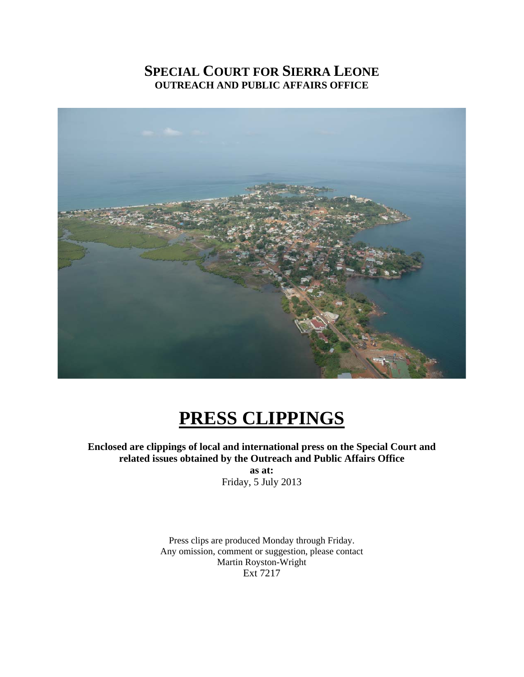## **SPECIAL COURT FOR SIERRA LEONE OUTREACH AND PUBLIC AFFAIRS OFFICE**



# **PRESS CLIPPINGS**

**Enclosed are clippings of local and international press on the Special Court and related issues obtained by the Outreach and Public Affairs Office** 

> **as at:**  Friday, 5 July 2013

Press clips are produced Monday through Friday. Any omission, comment or suggestion, please contact Martin Royston-Wright Ext 7217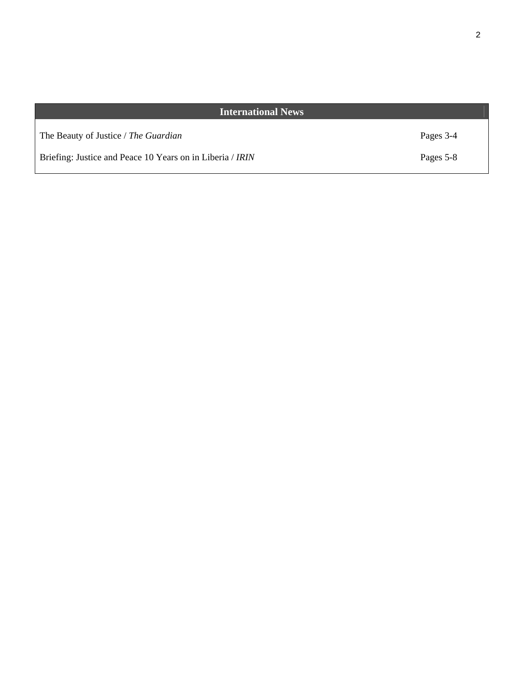## **International News**

The Beauty of Justice / *The Guardian*

Briefing: Justice and Peace 10 Years on in Liberia / *IRIN*

Pages 3-4

Pages 5-8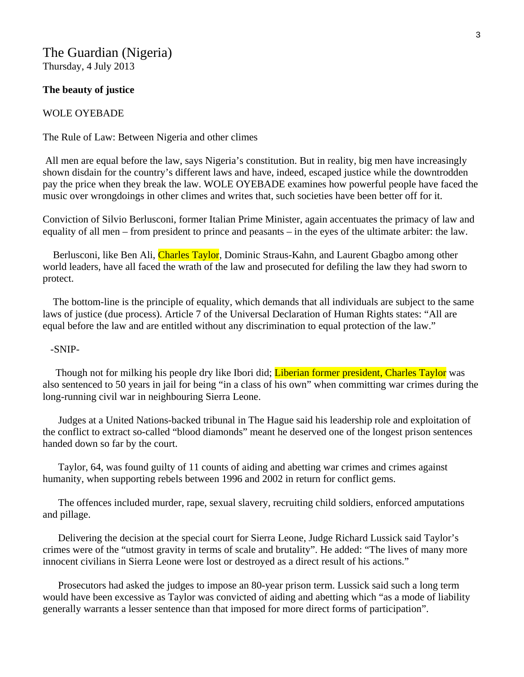## The Guardian (Nigeria) Thursday, 4 July 2013

#### **The beauty of justice**

### WOLE OYEBADE

The Rule of Law: Between Nigeria and other climes

 All men are equal before the law, says Nigeria's constitution. But in reality, big men have increasingly shown disdain for the country's different laws and have, indeed, escaped justice while the downtrodden pay the price when they break the law. WOLE OYEBADE examines how powerful people have faced the music over wrongdoings in other climes and writes that, such societies have been better off for it.

Conviction of Silvio Berlusconi, former Italian Prime Minister, again accentuates the primacy of law and equality of all men – from president to prince and peasants – in the eyes of the ultimate arbiter: the law.

Berlusconi, like Ben Ali, Charles Taylor, Dominic Straus-Kahn, and Laurent Gbagbo among other world leaders, have all faced the wrath of the law and prosecuted for defiling the law they had sworn to protect.

 The bottom-line is the principle of equality, which demands that all individuals are subject to the same laws of justice (due process). Article 7 of the Universal Declaration of Human Rights states: "All are equal before the law and are entitled without any discrimination to equal protection of the law."

#### -SNIP-

Though not for milking his people dry like Ibori did; Liberian former president, Charles Taylor was also sentenced to 50 years in jail for being "in a class of his own" when committing war crimes during the long-running civil war in neighbouring Sierra Leone.

 Judges at a United Nations-backed tribunal in The Hague said his leadership role and exploitation of the conflict to extract so-called "blood diamonds" meant he deserved one of the longest prison sentences handed down so far by the court.

 Taylor, 64, was found guilty of 11 counts of aiding and abetting war crimes and crimes against humanity, when supporting rebels between 1996 and 2002 in return for conflict gems.

 The offences included murder, rape, sexual slavery, recruiting child soldiers, enforced amputations and pillage.

 Delivering the decision at the special court for Sierra Leone, Judge Richard Lussick said Taylor's crimes were of the "utmost gravity in terms of scale and brutality". He added: "The lives of many more innocent civilians in Sierra Leone were lost or destroyed as a direct result of his actions."

 Prosecutors had asked the judges to impose an 80-year prison term. Lussick said such a long term would have been excessive as Taylor was convicted of aiding and abetting which "as a mode of liability generally warrants a lesser sentence than that imposed for more direct forms of participation".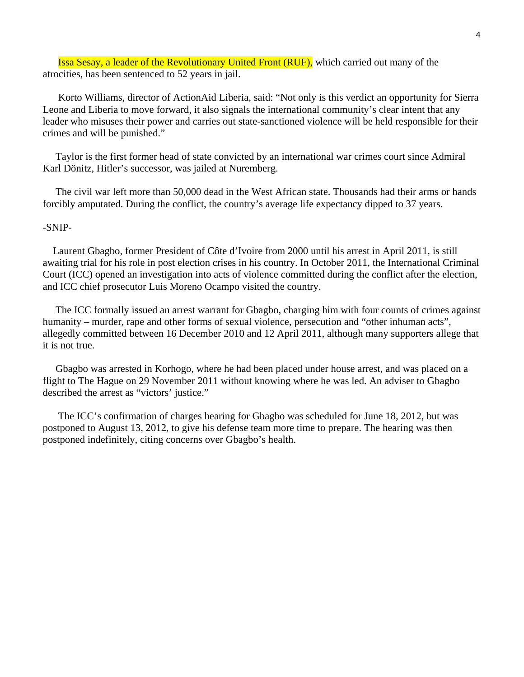Issa Sesay, a leader of the Revolutionary United Front (RUF), which carried out many of the atrocities, has been sentenced to 52 years in jail.

 Korto Williams, director of ActionAid Liberia, said: "Not only is this verdict an opportunity for Sierra Leone and Liberia to move forward, it also signals the international community's clear intent that any leader who misuses their power and carries out state-sanctioned violence will be held responsible for their crimes and will be punished."

 Taylor is the first former head of state convicted by an international war crimes court since Admiral Karl Dönitz, Hitler's successor, was jailed at Nuremberg.

 The civil war left more than 50,000 dead in the West African state. Thousands had their arms or hands forcibly amputated. During the conflict, the country's average life expectancy dipped to 37 years.

## -SNIP-

 Laurent Gbagbo, former President of Côte d'Ivoire from 2000 until his arrest in April 2011, is still awaiting trial for his role in post election crises in his country. In October 2011, the International Criminal Court (ICC) opened an investigation into acts of violence committed during the conflict after the election, and ICC chief prosecutor Luis Moreno Ocampo visited the country.

 The ICC formally issued an arrest warrant for Gbagbo, charging him with four counts of crimes against humanity – murder, rape and other forms of sexual violence, persecution and "other inhuman acts", allegedly committed between 16 December 2010 and 12 April 2011, although many supporters allege that it is not true.

 Gbagbo was arrested in Korhogo, where he had been placed under house arrest, and was placed on a flight to The Hague on 29 November 2011 without knowing where he was led. An adviser to Gbagbo described the arrest as "victors' justice."

 The ICC's confirmation of charges hearing for Gbagbo was scheduled for June 18, 2012, but was postponed to August 13, 2012, to give his defense team more time to prepare. The hearing was then postponed indefinitely, citing concerns over Gbagbo's health.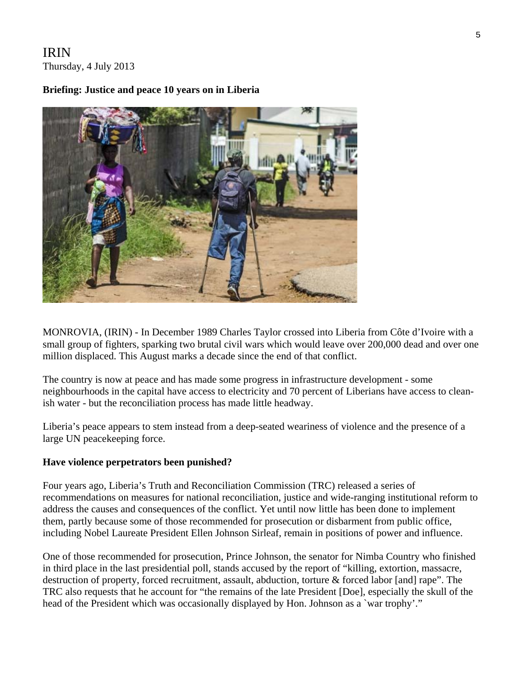## IRIN Thursday, 4 July 2013

## **Briefing: Justice and peace 10 years on in Liberia**



MONROVIA, (IRIN) - In December 1989 Charles Taylor crossed into Liberia from Côte d'Ivoire with a small group of fighters, sparking two brutal civil wars which would leave over 200,000 dead and over one million displaced. This August marks a decade since the end of that conflict.

The country is now at peace and has made some progress in infrastructure development - some neighbourhoods in the capital have access to electricity and 70 percent of Liberians have access to cleanish water - but the reconciliation process has made little headway.

Liberia's peace appears to stem instead from a deep-seated weariness of violence and the presence of a large UN peacekeeping force.

## **Have violence perpetrators been punished?**

Four years ago, Liberia's Truth and Reconciliation Commission (TRC) released a series of recommendations on measures for national reconciliation, justice and wide-ranging institutional reform to address the causes and consequences of the conflict. Yet until now little has been done to implement them, partly because some of those recommended for prosecution or disbarment from public office, including Nobel Laureate President Ellen Johnson Sirleaf, remain in positions of power and influence.

One of those recommended for prosecution, Prince Johnson, the senator for Nimba Country who finished in third place in the last presidential poll, stands accused by the report of "killing, extortion, massacre, destruction of property, forced recruitment, assault, abduction, torture & forced labor [and] rape". The TRC also requests that he account for "the remains of the late President [Doe], especially the skull of the head of the President which was occasionally displayed by Hon. Johnson as a 'war trophy'."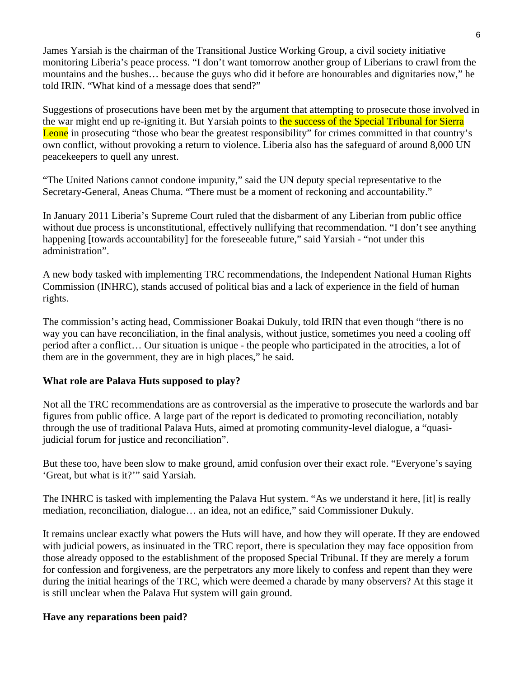James Yarsiah is the chairman of the Transitional Justice Working Group, a civil society initiative monitoring Liberia's peace process. "I don't want tomorrow another group of Liberians to crawl from the mountains and the bushes… because the guys who did it before are honourables and dignitaries now," he told IRIN. "What kind of a message does that send?"

Suggestions of prosecutions have been met by the argument that attempting to prosecute those involved in the war might end up re-igniting it. But Yarsiah points to the success of the Special Tribunal for Sierra Leone in prosecuting "those who bear the greatest responsibility" for crimes committed in that country's own conflict, without provoking a return to violence. Liberia also has the safeguard of around 8,000 UN peacekeepers to quell any unrest.

"The United Nations cannot condone impunity," said the UN deputy special representative to the Secretary-General, Aneas Chuma. "There must be a moment of reckoning and accountability."

In January 2011 Liberia's Supreme Court ruled that the disbarment of any Liberian from public office without due process is unconstitutional, effectively nullifying that recommendation. "I don't see anything happening [towards accountability] for the foreseeable future," said Yarsiah - "not under this administration".

A new body tasked with implementing TRC recommendations, the Independent National Human Rights Commission (INHRC), stands accused of political bias and a lack of experience in the field of human rights.

The commission's acting head, Commissioner Boakai Dukuly, told IRIN that even though "there is no way you can have reconciliation, in the final analysis, without justice, sometimes you need a cooling off period after a conflict… Our situation is unique - the people who participated in the atrocities, a lot of them are in the government, they are in high places," he said.

## **What role are Palava Huts supposed to play?**

Not all the TRC recommendations are as controversial as the imperative to prosecute the warlords and bar figures from public office. A large part of the report is dedicated to promoting reconciliation, notably through the use of traditional Palava Huts, aimed at promoting community-level dialogue, a "quasijudicial forum for justice and reconciliation".

But these too, have been slow to make ground, amid confusion over their exact role. "Everyone's saying 'Great, but what is it?'" said Yarsiah.

The INHRC is tasked with implementing the Palava Hut system. "As we understand it here, [it] is really mediation, reconciliation, dialogue… an idea, not an edifice," said Commissioner Dukuly.

It remains unclear exactly what powers the Huts will have, and how they will operate. If they are endowed with judicial powers, as insinuated in the TRC report, there is speculation they may face opposition from those already opposed to the establishment of the proposed Special Tribunal. If they are merely a forum for confession and forgiveness, are the perpetrators any more likely to confess and repent than they were during the initial hearings of the TRC, which were deemed a charade by many observers? At this stage it is still unclear when the Palava Hut system will gain ground.

## **Have any reparations been paid?**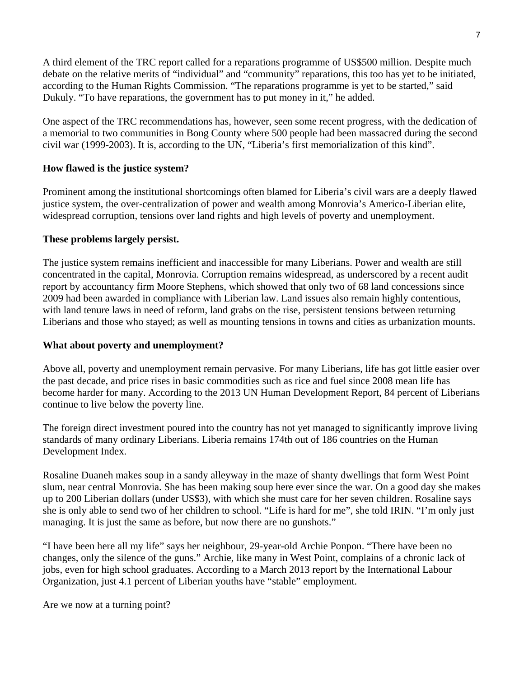A third element of the TRC report called for a reparations programme of US\$500 million. Despite much debate on the relative merits of "individual" and "community" reparations, this too has yet to be initiated, according to the Human Rights Commission. "The reparations programme is yet to be started," said Dukuly. "To have reparations, the government has to put money in it," he added.

One aspect of the TRC recommendations has, however, seen some recent progress, with the dedication of a memorial to two communities in Bong County where 500 people had been massacred during the second civil war (1999-2003). It is, according to the UN, "Liberia's first memorialization of this kind".

## **How flawed is the justice system?**

Prominent among the institutional shortcomings often blamed for Liberia's civil wars are a deeply flawed justice system, the over-centralization of power and wealth among Monrovia's Americo-Liberian elite, widespread corruption, tensions over land rights and high levels of poverty and unemployment.

## **These problems largely persist.**

The justice system remains inefficient and inaccessible for many Liberians. Power and wealth are still concentrated in the capital, Monrovia. Corruption remains widespread, as underscored by a recent audit report by accountancy firm Moore Stephens, which showed that only two of 68 land concessions since 2009 had been awarded in compliance with Liberian law. Land issues also remain highly contentious, with land tenure laws in need of reform, land grabs on the rise, persistent tensions between returning Liberians and those who stayed; as well as mounting tensions in towns and cities as urbanization mounts.

## **What about poverty and unemployment?**

Above all, poverty and unemployment remain pervasive. For many Liberians, life has got little easier over the past decade, and price rises in basic commodities such as rice and fuel since 2008 mean life has become harder for many. According to the 2013 UN Human Development Report, 84 percent of Liberians continue to live below the poverty line.

The foreign direct investment poured into the country has not yet managed to significantly improve living standards of many ordinary Liberians. Liberia remains 174th out of 186 countries on the Human Development Index.

Rosaline Duaneh makes soup in a sandy alleyway in the maze of shanty dwellings that form West Point slum, near central Monrovia. She has been making soup here ever since the war. On a good day she makes up to 200 Liberian dollars (under US\$3), with which she must care for her seven children. Rosaline says she is only able to send two of her children to school. "Life is hard for me", she told IRIN. "I'm only just managing. It is just the same as before, but now there are no gunshots."

"I have been here all my life" says her neighbour, 29-year-old Archie Ponpon. "There have been no changes, only the silence of the guns." Archie, like many in West Point, complains of a chronic lack of jobs, even for high school graduates. According to a March 2013 report by the International Labour Organization, just 4.1 percent of Liberian youths have "stable" employment.

Are we now at a turning point?